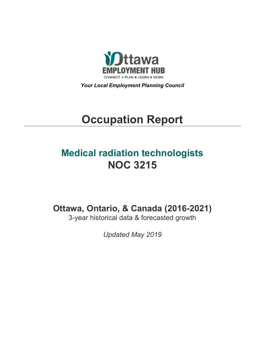

*Your Local Employment Planning Council*

# **Occupation Report**

## **Medical radiation technologists NOC 3215**

**Ottawa, Ontario, & Canada (2016-2021)**

3-year historical data & forecasted growth

*Updated May 2019*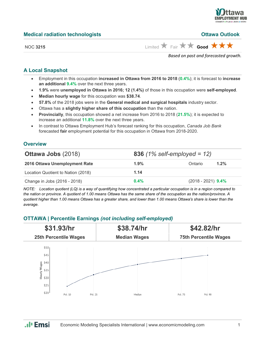

**Ottawa Outlook** 

| <b>Medical radiation technologists</b> |  |
|----------------------------------------|--|
|                                        |  |

NOC 3215 **Limited**  $\overrightarrow{A}$  Fair  $\overrightarrow{A}$  **Good** 

*Based on past and forecasted growth.*

#### **A Local Snapshot**

- Employment in this occupation **increased in Ottawa from 2016 to 2018** (**0.4%**); it is forecast to **increase an additional 9.4%** over the next three years.
- **1.9%** were **unemployed in Ottawa in 2016; 12 (1.4%)** of those in this occupation were **self-employed**.
- **Median hourly wage** for this occupation was **\$38.74**.
- **57.8%** of the 2018 jobs were in the **General medical and surgical hospitals** industry sector.
- Ottawa has a **slightly higher share of this occupation** than the nation.
- **Provincially**, this occupation showed a net increase from 2016 to 2018 (**21.5%**); it is expected to increase an additional **11.8%** over the next three years.
- In contrast to Ottawa Employment Hub's forecast ranking for this occupation, *Canada Job Bank*  forecasted **fair** employment potential for this occupation in Ottawa from 2018-2020.

#### **Overview**

| <b>Ottawa Jobs (2018)</b>          |         | <b>836</b> (1% self-employed = 12) |  |  |  |
|------------------------------------|---------|------------------------------------|--|--|--|
| 2016 Ottawa Unemployment Rate      | $1.9\%$ | 1.2%<br>Ontario                    |  |  |  |
| Location Quotient to Nation (2018) | 1.14    |                                    |  |  |  |
| Change in Jobs (2016 - 2018)       | $0.4\%$ | $(2018 - 2021)$ 9.4%               |  |  |  |

*NOTE: Location quotient (LQ) is a way of quantifying how concentrated a particular occupation is in a region compared to the nation or province. A quotient of 1.00 means Ottawa has the same share of the occupation as the nation/province. A quotient higher than 1.00 means Ottawa has a greater share, and lower than 1.00 means Ottawa's share is lower than the average.*

#### **OTTAWA | Percentile Earnings** *(not including self-employed)*



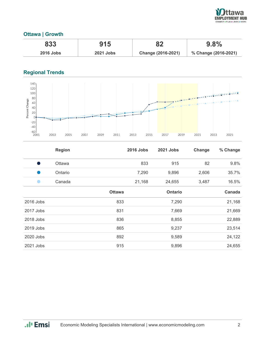

#### **Ottawa | Growth**

| 833              | 915              | оŋ                 | 9.8%                 |
|------------------|------------------|--------------------|----------------------|
| <b>2016 Jobs</b> | <b>2021 Jobs</b> | Change (2016-2021) | % Change (2016-2021) |

### **Regional Trends**



|           | <b>Region</b> |               | <b>2016 Jobs</b> | <b>2021 Jobs</b> | Change | % Change |
|-----------|---------------|---------------|------------------|------------------|--------|----------|
| - 1       | Ottawa        |               | 833              | 915              | 82     | 9.8%     |
|           | Ontario       |               | 7,290            | 9,896            | 2,606  | 35.7%    |
|           | Canada        |               | 21,168           | 24,655           | 3,487  | 16.5%    |
|           |               | <b>Ottawa</b> |                  | <b>Ontario</b>   |        | Canada   |
| 2016 Jobs |               | 833           |                  | 7,290            |        | 21,168   |
| 2017 Jobs |               | 831           |                  | 7,669            |        | 21,669   |
| 2018 Jobs |               | 836           |                  | 8,855            |        | 22,889   |
| 2019 Jobs |               | 865           |                  | 9,237            |        | 23,514   |
| 2020 Jobs |               | 892           |                  | 9,589            |        | 24,122   |
| 2021 Jobs |               | 915           |                  | 9,896            |        | 24,655   |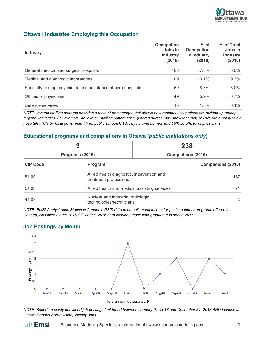

#### **Ottawa | Industries Employing this Occupation**

| <b>Industry</b>                                              | Occupation<br>Jobs in<br><b>Industry</b><br>(2018) | $%$ of<br><b>Occupation</b><br>in Industry<br>(2018) | % of Total<br>Jobs in<br><b>Industry</b><br>(2018) |
|--------------------------------------------------------------|----------------------------------------------------|------------------------------------------------------|----------------------------------------------------|
| General medical and surgical hospitals                       | 483                                                | 57.8%                                                | 3.0%                                               |
| Medical and diagnostic laboratories                          | 109                                                | 13.1%                                                | 9.3%                                               |
| Specialty (except psychiatric and substance abuse) hospitals | 69                                                 | 8.3%                                                 | 3.0%                                               |
| Offices of physicians                                        | 49                                                 | 5.9%                                                 | 0.7%                                               |
| Defence services                                             | 15                                                 | 1.8%                                                 | $0.1\%$                                            |

*NOTE: Inverse staffing patterns provides a table of percentages that shows how regional occupations are divided up among regional industries. For example, an inverse staffing pattern for registered nurses may show that 70% of RNs are employed by hospitals, 10% by local government (i.e., public schools), 10% by nursing homes, and 10% by offices of physicians.*

#### **Educational programs and completions in Ottawa** *(public institutions only***)**

|                 | 3                                                                         | 238                       |  |
|-----------------|---------------------------------------------------------------------------|---------------------------|--|
| Programs (2016) |                                                                           | <b>Completions (2016)</b> |  |
| <b>CIP Code</b> | Program                                                                   | <b>Completions (2016)</b> |  |
| 51.09           | Allied health diagnostic, intervention and<br>treatment professions       | 167                       |  |
| 51.08           | Allied health and medical assisting services<br>71                        |                           |  |
| 41.02           | Nuclear and industrial radiologic<br>$\Omega$<br>technologies/technicians |                           |  |

*NOTE: EMSI Analyst uses Statistics Canada's PSIS data to compile completions for postsecondary programs offered in Canada, classified by the 2016 CIP codes. 2016 data includes those who graduated in spring 2017.*

#### **Job Postings by Month**

.. I<sub>'</sub> Emsi



Total annual job postings: 9

*NOTE: Based on newly published job postings first found between January 01, 2018 and December 31, 2018 AND location is Ottawa Census Sub-division, Vicinity Jobs.*